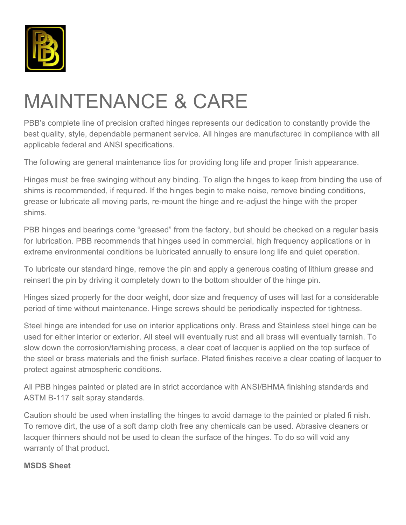

## MAINTENANCE & CARE

PBB's complete line of precision crafted hinges represents our dedication to constantly provide the best quality, style, dependable permanent service. All hinges are manufactured in compliance with all applicable federal and ANSI specifications.

The following are general maintenance tips for providing long life and proper finish appearance.

Hinges must be free swinging without any binding. To align the hinges to keep from binding the use of shims is recommended, if required. If the hinges begin to make noise, remove binding conditions, grease or lubricate all moving parts, re-mount the hinge and re-adjust the hinge with the proper shims.

PBB hinges and bearings come "greased" from the factory, but should be checked on a regular basis for lubrication. PBB recommends that hinges used in commercial, high frequency applications or in extreme environmental conditions be lubricated annually to ensure long life and quiet operation.

To lubricate our standard hinge, remove the pin and apply a generous coating of lithium grease and reinsert the pin by driving it completely down to the bottom shoulder of the hinge pin.

Hinges sized properly for the door weight, door size and frequency of uses will last for a considerable period of time without maintenance. Hinge screws should be periodically inspected for tightness.

Steel hinge are intended for use on interior applications only. Brass and Stainless steel hinge can be used for either interior or exterior. All steel will eventually rust and all brass will eventually tarnish. To slow down the corrosion/tarnishing process, a clear coat of lacquer is applied on the top surface of the steel or brass materials and the finish surface. Plated finishes receive a clear coating of lacquer to protect against atmospheric conditions.

All PBB hinges painted or plated are in strict accordance with ANSI/BHMA finishing standards and ASTM B-117 salt spray standards.

Caution should be used when installing the hinges to avoid damage to the painted or plated fi nish. To remove dirt, the use of a soft damp cloth free any chemicals can be used. Abrasive cleaners or lacquer thinners should not be used to clean the surface of the hinges. To do so will void any warranty of that product.

## **MSDS Sheet**